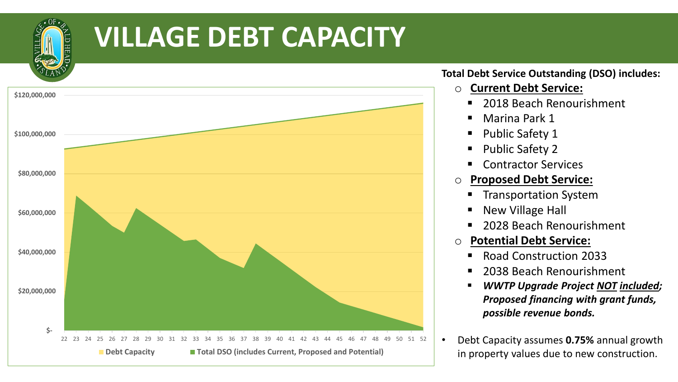

## **VILLAGE DEBT CAPACITY**



## **Total Debt Service Outstanding (DSO) includes:**

- o **Current Debt Service:**
	- 2018 Beach Renourishment
	- Marina Park 1
	- Public Safety 1
	- Public Safety 2
	- Contractor Services
- o **Proposed Debt Service:**
	- Transportation System
	- New Village Hall
	- 2028 Beach Renourishment
- o **Potential Debt Service:**
	- Road Construction 2033
	- 2038 Beach Renourishment
	- *WWTP Upgrade Project NOT included; Proposed financing with grant funds, possible revenue bonds.*
- Debt Capacity assumes **0.75%** annual growth in property values due to new construction.